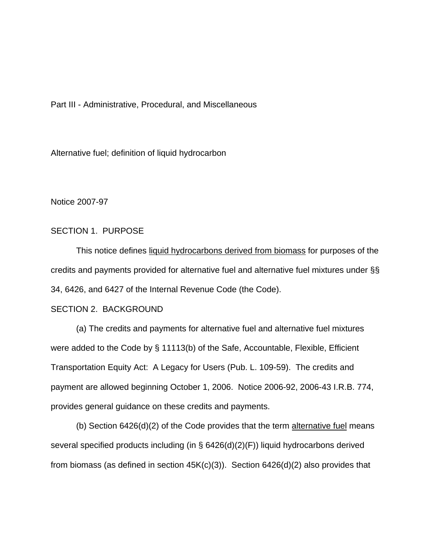Part III - Administrative, Procedural, and Miscellaneous

Alternative fuel; definition of liquid hydrocarbon

Notice 2007-97

#### SECTION 1. PURPOSE

This notice defines liquid hydrocarbons derived from biomass for purposes of the credits and payments provided for alternative fuel and alternative fuel mixtures under §§ 34, 6426, and 6427 of the Internal Revenue Code (the Code).

### SECTION 2. BACKGROUND

 (a) The credits and payments for alternative fuel and alternative fuel mixtures were added to the Code by § 11113(b) of the Safe, Accountable, Flexible, Efficient Transportation Equity Act: A Legacy for Users (Pub. L. 109-59). The credits and payment are allowed beginning October 1, 2006. Notice 2006-92, 2006-43 I.R.B. 774, provides general guidance on these credits and payments.

(b) Section  $6426(d)(2)$  of the Code provides that the term alternative fuel means several specified products including (in § 6426(d)(2)(F)) liquid hydrocarbons derived from biomass (as defined in section 45K(c)(3)). Section 6426(d)(2) also provides that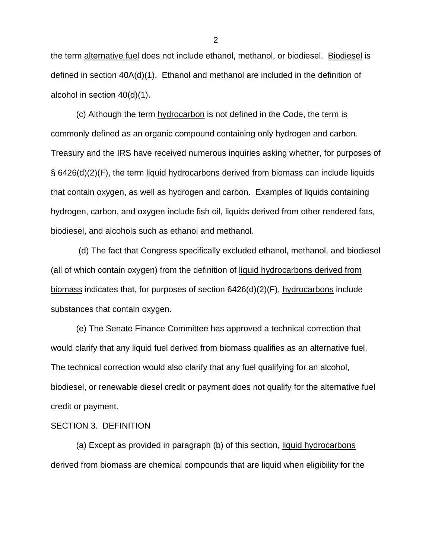the term alternative fuel does not include ethanol, methanol, or biodiesel. Biodiesel is defined in section 40A(d)(1). Ethanol and methanol are included in the definition of alcohol in section 40(d)(1).

 (c) Although the term hydrocarbon is not defined in the Code, the term is commonly defined as an organic compound containing only hydrogen and carbon. Treasury and the IRS have received numerous inquiries asking whether, for purposes of § 6426(d)(2)(F), the term liquid hydrocarbons derived from biomass can include liquids that contain oxygen, as well as hydrogen and carbon. Examples of liquids containing hydrogen, carbon, and oxygen include fish oil, liquids derived from other rendered fats, biodiesel, and alcohols such as ethanol and methanol.

 (d) The fact that Congress specifically excluded ethanol, methanol, and biodiesel (all of which contain oxygen) from the definition of liquid hydrocarbons derived from biomass indicates that, for purposes of section 6426(d)(2)(F), hydrocarbons include substances that contain oxygen.

 (e) The Senate Finance Committee has approved a technical correction that would clarify that any liquid fuel derived from biomass qualifies as an alternative fuel. The technical correction would also clarify that any fuel qualifying for an alcohol, biodiesel, or renewable diesel credit or payment does not qualify for the alternative fuel credit or payment.

#### SECTION 3. DEFINITION

(a) Except as provided in paragraph (b) of this section, liquid hydrocarbons derived from biomass are chemical compounds that are liquid when eligibility for the

2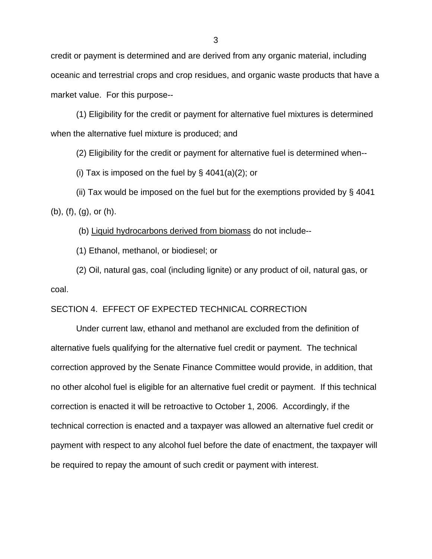credit or payment is determined and are derived from any organic material, including oceanic and terrestrial crops and crop residues, and organic waste products that have a market value. For this purpose--

(1) Eligibility for the credit or payment for alternative fuel mixtures is determined when the alternative fuel mixture is produced; and

(2) Eligibility for the credit or payment for alternative fuel is determined when--

(i) Tax is imposed on the fuel by  $\S$  4041(a)(2); or

(ii) Tax would be imposed on the fuel but for the exemptions provided by § 4041 (b), (f), (g), or (h).

(b) Liquid hydrocarbons derived from biomass do not include--

(1) Ethanol, methanol, or biodiesel; or

(2) Oil, natural gas, coal (including lignite) or any product of oil, natural gas, or coal.

## SECTION 4. EFFECT OF EXPECTED TECHNICAL CORRECTION

 Under current law, ethanol and methanol are excluded from the definition of alternative fuels qualifying for the alternative fuel credit or payment. The technical correction approved by the Senate Finance Committee would provide, in addition, that no other alcohol fuel is eligible for an alternative fuel credit or payment. If this technical correction is enacted it will be retroactive to October 1, 2006. Accordingly, if the technical correction is enacted and a taxpayer was allowed an alternative fuel credit or payment with respect to any alcohol fuel before the date of enactment, the taxpayer will be required to repay the amount of such credit or payment with interest.